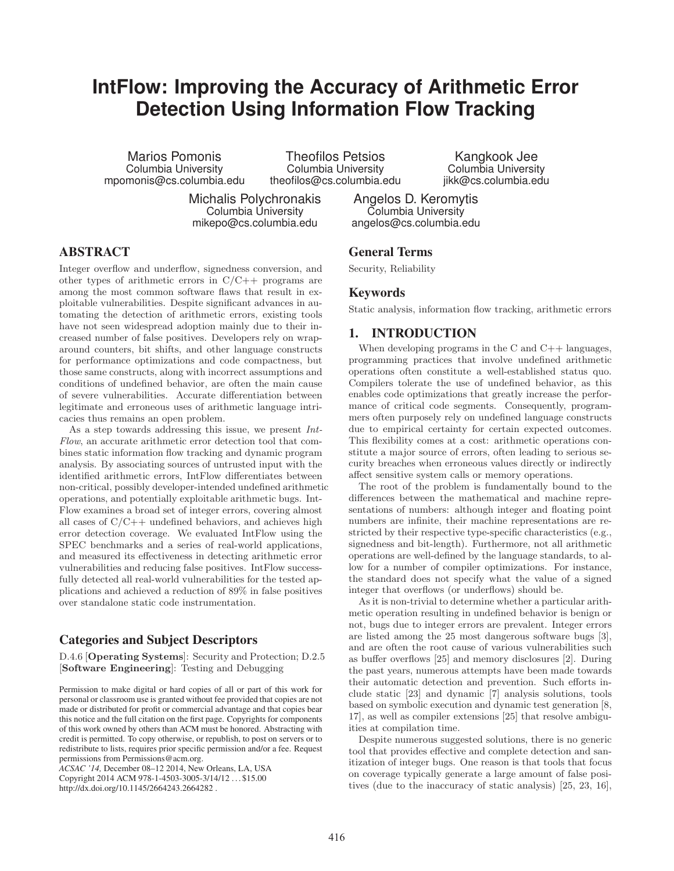# **IntFlow: Improving the Accuracy of Arithmetic Error Detection Using Information Flow Tracking**

Marios Pomonis Columbia University mpomonis@cs.columbia.edu

Theofilos Petsios Columbia University theofilos@cs.columbia.edu

Michalis Polychronakis Columbia University mikepo@cs.columbia.edu

Kangkook Jee Columbia University jikk@cs.columbia.edu

Angelos D. Keromytis Columbia University angelos@cs.columbia.edu

# ABSTRACT

Integer overflow and underflow, signedness conversion, and other types of arithmetic errors in  $C/C++$  programs are among the most common software flaws that result in exploitable vulnerabilities. Despite significant advances in automating the detection of arithmetic errors, existing tools have not seen widespread adoption mainly due to their increased number of false positives. Developers rely on wraparound counters, bit shifts, and other language constructs for performance optimizations and code compactness, but those same constructs, along with incorrect assumptions and conditions of undefined behavior, are often the main cause of severe vulnerabilities. Accurate differentiation between legitimate and erroneous uses of arithmetic language intricacies thus remains an open problem.

As a step towards addressing this issue, we present *Int-Flow*, an accurate arithmetic error detection tool that combines static information flow tracking and dynamic program analysis. By associating sources of untrusted input with the identified arithmetic errors, IntFlow differentiates between non-critical, possibly developer-intended undefined arithmetic operations, and potentially exploitable arithmetic bugs. Int-Flow examines a broad set of integer errors, covering almost all cases of  $C/C++$  undefined behaviors, and achieves high error detection coverage. We evaluated IntFlow using the SPEC benchmarks and a series of real-world applications, and measured its effectiveness in detecting arithmetic error vulnerabilities and reducing false positives. IntFlow successfully detected all real-world vulnerabilities for the tested applications and achieved a reduction of 89% in false positives over standalone static code instrumentation.

# Categories and Subject Descriptors

D.4.6 [**Operating Systems**]: Security and Protection; D.2.5 [**Software Engineering**]: Testing and Debugging

Permission to make digital or hard copies of all or part of this work for personal or classroom use is granted without fee provided that copies are not made or distributed for profit or commercial advantage and that copies bear this notice and the full citation on the first page. Copyrights for components of this work owned by others than ACM must be honored. Abstracting with credit is permitted. To copy otherwise, or republish, to post on servers or to redistribute to lists, requires prior specific permission and/or a fee. Request permissions from Permissions@acm.org.

*ACSAC '14,* December 08–12 2014, New Orleans, LA, USA Copyright 2014 ACM 978-1-4503-3005-3/14/12 . . . \$15.00 http://dx.doi.org/10.1145/2664243.2664282 .

### General Terms

Security, Reliability

## Keywords

Static analysis, information flow tracking, arithmetic errors

# 1. INTRODUCTION

When developing programs in the  $C$  and  $C_{++}$  languages, programming practices that involve undefined arithmetic operations often constitute a well-established status quo. Compilers tolerate the use of undefined behavior, as this enables code optimizations that greatly increase the performance of critical code segments. Consequently, programmers often purposely rely on undefined language constructs due to empirical certainty for certain expected outcomes. This flexibility comes at a cost: arithmetic operations constitute a major source of errors, often leading to serious security breaches when erroneous values directly or indirectly affect sensitive system calls or memory operations.

The root of the problem is fundamentally bound to the differences between the mathematical and machine representations of numbers: although integer and floating point numbers are infinite, their machine representations are restricted by their respective type-specific characteristics (e.g., signedness and bit-length). Furthermore, not all arithmetic operations are well-defined by the language standards, to allow for a number of compiler optimizations. For instance, the standard does not specify what the value of a signed integer that overflows (or underflows) should be.

As it is non-trivial to determine whether a particular arithmetic operation resulting in undefined behavior is benign or not, bugs due to integer errors are prevalent. Integer errors are listed among the 25 most dangerous software bugs [3], and are often the root cause of various vulnerabilities such as buffer overflows [25] and memory disclosures [2]. During the past years, numerous attempts have been made towards their automatic detection and prevention. Such efforts include static [23] and dynamic [7] analysis solutions, tools based on symbolic execution and dynamic test generation [8, 17], as well as compiler extensions [25] that resolve ambiguities at compilation time.

Despite numerous suggested solutions, there is no generic tool that provides effective and complete detection and sanitization of integer bugs. One reason is that tools that focus on coverage typically generate a large amount of false positives (due to the inaccuracy of static analysis) [25, 23, 16],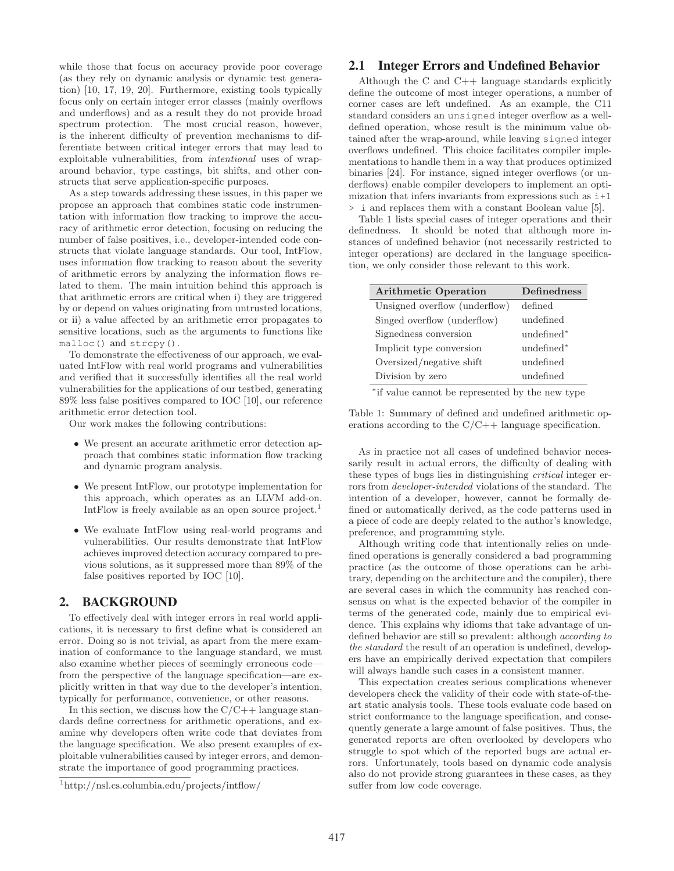while those that focus on accuracy provide poor coverage (as they rely on dynamic analysis or dynamic test generation) [10, 17, 19, 20]. Furthermore, existing tools typically focus only on certain integer error classes (mainly overflows and underflows) and as a result they do not provide broad spectrum protection. The most crucial reason, however, is the inherent difficulty of prevention mechanisms to differentiate between critical integer errors that may lead to exploitable vulnerabilities, from *intentional* uses of wraparound behavior, type castings, bit shifts, and other constructs that serve application-specific purposes.

As a step towards addressing these issues, in this paper we propose an approach that combines static code instrumentation with information flow tracking to improve the accuracy of arithmetic error detection, focusing on reducing the number of false positives, i.e., developer-intended code constructs that violate language standards. Our tool, IntFlow, uses information flow tracking to reason about the severity of arithmetic errors by analyzing the information flows related to them. The main intuition behind this approach is that arithmetic errors are critical when i) they are triggered by or depend on values originating from untrusted locations, or ii) a value affected by an arithmetic error propagates to sensitive locations, such as the arguments to functions like malloc() and strcpy().

To demonstrate the effectiveness of our approach, we evaluated IntFlow with real world programs and vulnerabilities and verified that it successfully identifies all the real world vulnerabilities for the applications of our testbed, generating 89% less false positives compared to IOC [10], our reference arithmetic error detection tool.

Our work makes the following contributions:

- We present an accurate arithmetic error detection approach that combines static information flow tracking and dynamic program analysis.
- We present IntFlow, our prototype implementation for this approach, which operates as an LLVM add-on. IntFlow is freely available as an open source project.<sup>1</sup>
- We evaluate IntFlow using real-world programs and vulnerabilities. Our results demonstrate that IntFlow achieves improved detection accuracy compared to previous solutions, as it suppressed more than 89% of the false positives reported by IOC [10].

## 2. BACKGROUND

To effectively deal with integer errors in real world applications, it is necessary to first define what is considered an error. Doing so is not trivial, as apart from the mere examination of conformance to the language standard, we must also examine whether pieces of seemingly erroneous code from the perspective of the language specification—are explicitly written in that way due to the developer's intention, typically for performance, convenience, or other reasons.

In this section, we discuss how the  $C/C++$  language standards define correctness for arithmetic operations, and examine why developers often write code that deviates from the language specification. We also present examples of exploitable vulnerabilities caused by integer errors, and demonstrate the importance of good programming practices.

# 2.1 Integer Errors and Undefined Behavior

Although the  $C$  and  $C++$  language standards explicitly define the outcome of most integer operations, a number of corner cases are left undefined. As an example, the C11 standard considers an unsigned integer overflow as a welldefined operation, whose result is the minimum value obtained after the wrap-around, while leaving signed integer overflows undefined. This choice facilitates compiler implementations to handle them in a way that produces optimized binaries [24]. For instance, signed integer overflows (or underflows) enable compiler developers to implement an optimization that infers invariants from expressions such as  $i+1$ > i and replaces them with a constant Boolean value [5].

Table 1 lists special cases of integer operations and their definedness. It should be noted that although more instances of undefined behavior (not necessarily restricted to integer operations) are declared in the language specification, we only consider those relevant to this work.

| <b>Arithmetic Operation</b>   | <b>Definedness</b>     |  |  |
|-------------------------------|------------------------|--|--|
| Unsigned overflow (underflow) | defined                |  |  |
| Singed overflow (underflow)   | undefined              |  |  |
| Signedness conversion         | undefined <sup>*</sup> |  |  |
| Implicit type conversion      | undefined*             |  |  |
| Oversized/negative shift      | undefined              |  |  |
| Division by zero              | undefined              |  |  |

<sup>∗</sup>if value cannot be represented by the new type

Table 1: Summary of defined and undefined arithmetic operations according to the C/C++ language specification.

As in practice not all cases of undefined behavior necessarily result in actual errors, the difficulty of dealing with these types of bugs lies in distinguishing *critical* integer errors from *developer-intended* violations of the standard. The intention of a developer, however, cannot be formally defined or automatically derived, as the code patterns used in a piece of code are deeply related to the author's knowledge, preference, and programming style.

Although writing code that intentionally relies on undefined operations is generally considered a bad programming practice (as the outcome of those operations can be arbitrary, depending on the architecture and the compiler), there are several cases in which the community has reached consensus on what is the expected behavior of the compiler in terms of the generated code, mainly due to empirical evidence. This explains why idioms that take advantage of undefined behavior are still so prevalent: although *according to the standard* the result of an operation is undefined, developers have an empirically derived expectation that compilers will always handle such cases in a consistent manner.

This expectation creates serious complications whenever developers check the validity of their code with state-of-theart static analysis tools. These tools evaluate code based on strict conformance to the language specification, and consequently generate a large amount of false positives. Thus, the generated reports are often overlooked by developers who struggle to spot which of the reported bugs are actual errors. Unfortunately, tools based on dynamic code analysis also do not provide strong guarantees in these cases, as they suffer from low code coverage.

<sup>1</sup>http://nsl.cs.columbia.edu/projects/intflow/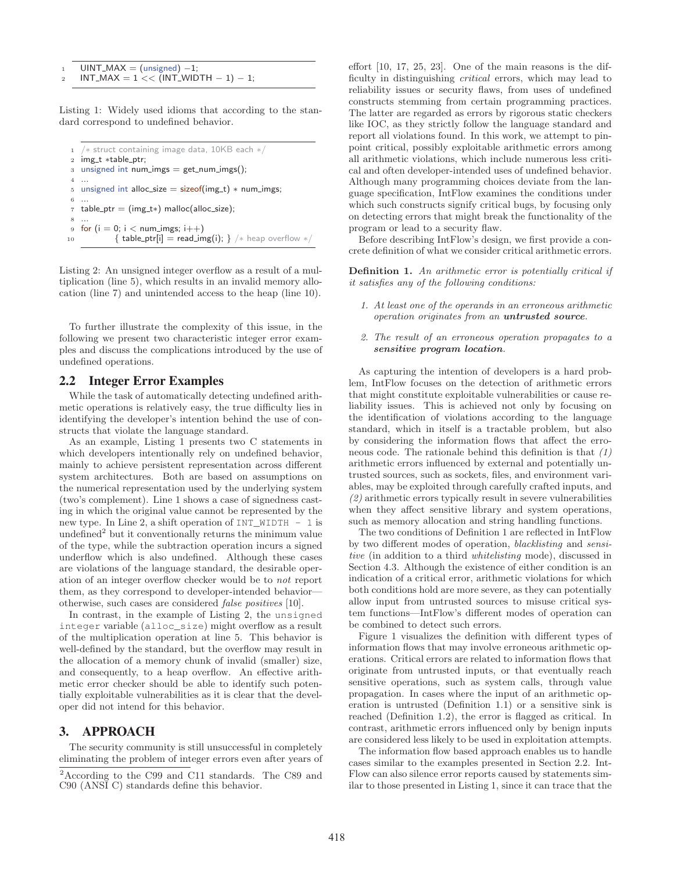$UINT\_MAX = (unsigned) -1;$  $INT\_MAX = 1$  <<  $\overline{(INT\_WIDTH - 1)} - 1$ ;

Listing 1: Widely used idioms that according to the standard correspond to undefined behavior.

```
1 /* struct containing image data, 10KB each */<br>2 img_t *table_ptr:
2 img_t *table_ptr;<br>3 unsigned int num
   unsigned int num_imgs = get_num_imgs();
4 ...
5 unsigned int alloc_size = size(fimg_t) * num_imgs;6 ...
\tau table_ptr = (img_t*) malloc(alloc_size);
 8 ...
9 for (i = 0; i < num_imgs; i++)
10 \{ \text{table\_ptr}[i] = \text{read\_img}(i); \} /* heap overflow */
```
Listing 2: An unsigned integer overflow as a result of a multiplication (line 5), which results in an invalid memory allocation (line 7) and unintended access to the heap (line 10).

To further illustrate the complexity of this issue, in the following we present two characteristic integer error examples and discuss the complications introduced by the use of undefined operations.

# 2.2 Integer Error Examples

While the task of automatically detecting undefined arithmetic operations is relatively easy, the true difficulty lies in identifying the developer's intention behind the use of constructs that violate the language standard.

As an example, Listing 1 presents two C statements in which developers intentionally rely on undefined behavior, mainly to achieve persistent representation across different system architectures. Both are based on assumptions on the numerical representation used by the underlying system (two's complement). Line 1 shows a case of signedness casting in which the original value cannot be represented by the new type. In Line 2, a shift operation of  $INT$  WIDTH  $- 1$  is undefined<sup>2</sup> but it conventionally returns the minimum value of the type, while the subtraction operation incurs a signed underflow which is also undefined. Although these cases are violations of the language standard, the desirable operation of an integer overflow checker would be to *not* report them, as they correspond to developer-intended behavior otherwise, such cases are considered *false positives* [10].

In contrast, in the example of Listing 2, the unsigned integer variable (alloc\_size) might overflow as a result of the multiplication operation at line 5. This behavior is well-defined by the standard, but the overflow may result in the allocation of a memory chunk of invalid (smaller) size, and consequently, to a heap overflow. An effective arithmetic error checker should be able to identify such potentially exploitable vulnerabilities as it is clear that the developer did not intend for this behavior.

# 3. APPROACH

The security community is still unsuccessful in completely eliminating the problem of integer errors even after years of effort [10, 17, 25, 23]. One of the main reasons is the difficulty in distinguishing *critical* errors, which may lead to reliability issues or security flaws, from uses of undefined constructs stemming from certain programming practices. The latter are regarded as errors by rigorous static checkers like IOC, as they strictly follow the language standard and report all violations found. In this work, we attempt to pinpoint critical, possibly exploitable arithmetic errors among all arithmetic violations, which include numerous less critical and often developer-intended uses of undefined behavior. Although many programming choices deviate from the language specification, IntFlow examines the conditions under which such constructs signify critical bugs, by focusing only on detecting errors that might break the functionality of the program or lead to a security flaw.

Before describing IntFlow's design, we first provide a concrete definition of what we consider critical arithmetic errors.

**Definition 1.** *An arithmetic error is potentially critical if it satisfies any of the following conditions:*

- *1. At least one of the operands in an erroneous arithmetic operation originates from an untrusted source.*
- *2. The result of an erroneous operation propagates to a sensitive program location.*

As capturing the intention of developers is a hard problem, IntFlow focuses on the detection of arithmetic errors that might constitute exploitable vulnerabilities or cause reliability issues. This is achieved not only by focusing on the identification of violations according to the language standard, which in itself is a tractable problem, but also by considering the information flows that affect the erroneous code. The rationale behind this definition is that *(1)* arithmetic errors influenced by external and potentially untrusted sources, such as sockets, files, and environment variables, may be exploited through carefully crafted inputs, and *(2)* arithmetic errors typically result in severe vulnerabilities when they affect sensitive library and system operations, such as memory allocation and string handling functions.

The two conditions of Definition 1 are reflected in IntFlow by two different modes of operation, *blacklisting* and *sensitive* (in addition to a third *whitelisting* mode), discussed in Section 4.3. Although the existence of either condition is an indication of a critical error, arithmetic violations for which both conditions hold are more severe, as they can potentially allow input from untrusted sources to misuse critical system functions—IntFlow's different modes of operation can be combined to detect such errors.

Figure 1 visualizes the definition with different types of information flows that may involve erroneous arithmetic operations. Critical errors are related to information flows that originate from untrusted inputs, or that eventually reach sensitive operations, such as system calls, through value propagation. In cases where the input of an arithmetic operation is untrusted (Definition 1.1) or a sensitive sink is reached (Definition 1.2), the error is flagged as critical. In contrast, arithmetic errors influenced only by benign inputs are considered less likely to be used in exploitation attempts.

The information flow based approach enables us to handle cases similar to the examples presented in Section 2.2. Int-Flow can also silence error reports caused by statements similar to those presented in Listing 1, since it can trace that the

<sup>2</sup>According to the C99 and C11 standards. The C89 and C90 (ANSI C) standards define this behavior.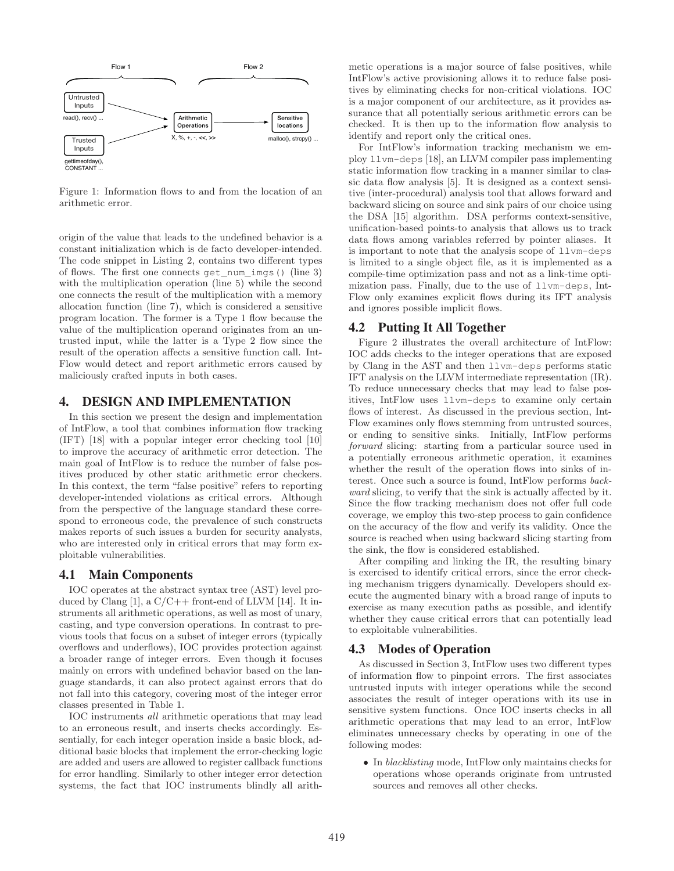

Figure 1: Information flows to and from the location of an arithmetic error.

origin of the value that leads to the undefined behavior is a constant initialization which is de facto developer-intended. The code snippet in Listing 2, contains two different types of flows. The first one connects get\_num\_imgs() (line 3) with the multiplication operation (line 5) while the second one connects the result of the multiplication with a memory allocation function (line 7), which is considered a sensitive program location. The former is a Type 1 flow because the value of the multiplication operand originates from an untrusted input, while the latter is a Type 2 flow since the result of the operation affects a sensitive function call. Int-Flow would detect and report arithmetic errors caused by maliciously crafted inputs in both cases.

## 4. DESIGN AND IMPLEMENTATION

In this section we present the design and implementation of IntFlow, a tool that combines information flow tracking (IFT) [18] with a popular integer error checking tool [10] to improve the accuracy of arithmetic error detection. The main goal of IntFlow is to reduce the number of false positives produced by other static arithmetic error checkers. In this context, the term "false positive" refers to reporting developer-intended violations as critical errors. Although from the perspective of the language standard these correspond to erroneous code, the prevalence of such constructs makes reports of such issues a burden for security analysts, who are interested only in critical errors that may form exploitable vulnerabilities.

#### 4.1 Main Components

IOC operates at the abstract syntax tree (AST) level produced by Clang [1], a  $C/C++$  front-end of LLVM [14]. It instruments all arithmetic operations, as well as most of unary, casting, and type conversion operations. In contrast to previous tools that focus on a subset of integer errors (typically overflows and underflows), IOC provides protection against a broader range of integer errors. Even though it focuses mainly on errors with undefined behavior based on the language standards, it can also protect against errors that do not fall into this category, covering most of the integer error classes presented in Table 1.

IOC instruments *all* arithmetic operations that may lead to an erroneous result, and inserts checks accordingly. Essentially, for each integer operation inside a basic block, additional basic blocks that implement the error-checking logic are added and users are allowed to register callback functions for error handling. Similarly to other integer error detection systems, the fact that IOC instruments blindly all arithmetic operations is a major source of false positives, while IntFlow's active provisioning allows it to reduce false positives by eliminating checks for non-critical violations. IOC is a major component of our architecture, as it provides assurance that all potentially serious arithmetic errors can be checked. It is then up to the information flow analysis to identify and report only the critical ones.

For IntFlow's information tracking mechanism we employ llvm-deps [18], an LLVM compiler pass implementing static information flow tracking in a manner similar to classic data flow analysis [5]. It is designed as a context sensitive (inter-procedural) analysis tool that allows forward and backward slicing on source and sink pairs of our choice using the DSA [15] algorithm. DSA performs context-sensitive, unification-based points-to analysis that allows us to track data flows among variables referred by pointer aliases. It is important to note that the analysis scope of llvm-deps is limited to a single object file, as it is implemented as a compile-time optimization pass and not as a link-time optimization pass. Finally, due to the use of llvm-deps, Int-Flow only examines explicit flows during its IFT analysis and ignores possible implicit flows.

## 4.2 Putting It All Together

Figure 2 illustrates the overall architecture of IntFlow: IOC adds checks to the integer operations that are exposed by Clang in the AST and then llvm-deps performs static IFT analysis on the LLVM intermediate representation (IR). To reduce unnecessary checks that may lead to false positives, IntFlow uses llvm-deps to examine only certain flows of interest. As discussed in the previous section, Int-Flow examines only flows stemming from untrusted sources, or ending to sensitive sinks. Initially, IntFlow performs *forward* slicing: starting from a particular source used in a potentially erroneous arithmetic operation, it examines whether the result of the operation flows into sinks of interest. Once such a source is found, IntFlow performs *backward* slicing, to verify that the sink is actually affected by it. Since the flow tracking mechanism does not offer full code coverage, we employ this two-step process to gain confidence on the accuracy of the flow and verify its validity. Once the source is reached when using backward slicing starting from the sink, the flow is considered established.

After compiling and linking the IR, the resulting binary is exercised to identify critical errors, since the error checking mechanism triggers dynamically. Developers should execute the augmented binary with a broad range of inputs to exercise as many execution paths as possible, and identify whether they cause critical errors that can potentially lead to exploitable vulnerabilities.

### 4.3 Modes of Operation

As discussed in Section 3, IntFlow uses two different types of information flow to pinpoint errors. The first associates untrusted inputs with integer operations while the second associates the result of integer operations with its use in sensitive system functions. Once IOC inserts checks in all arithmetic operations that may lead to an error, IntFlow eliminates unnecessary checks by operating in one of the following modes:

• In *blacklisting* mode, IntFlow only maintains checks for operations whose operands originate from untrusted sources and removes all other checks.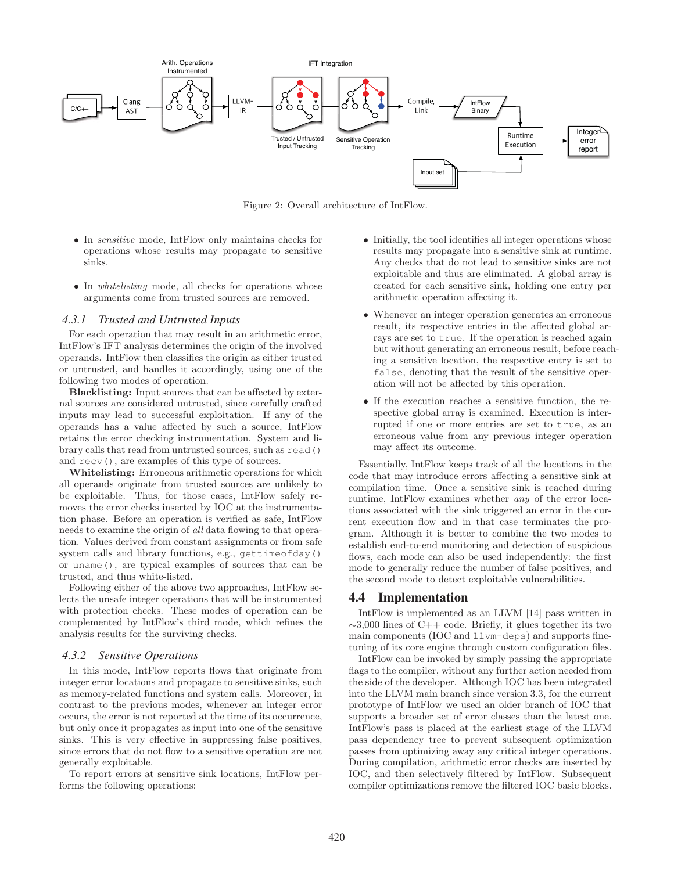

Figure 2: Overall architecture of IntFlow.

- In *sensitive* mode, IntFlow only maintains checks for operations whose results may propagate to sensitive sinks.
- In *whitelisting* mode, all checks for operations whose arguments come from trusted sources are removed.

#### *4.3.1 Trusted and Untrusted Inputs*

For each operation that may result in an arithmetic error, IntFlow's IFT analysis determines the origin of the involved operands. IntFlow then classifies the origin as either trusted or untrusted, and handles it accordingly, using one of the following two modes of operation.

**Blacklisting:** Input sources that can be affected by external sources are considered untrusted, since carefully crafted inputs may lead to successful exploitation. If any of the operands has a value affected by such a source, IntFlow retains the error checking instrumentation. System and library calls that read from untrusted sources, such as read() and recv(), are examples of this type of sources.

**Whitelisting:** Erroneous arithmetic operations for which all operands originate from trusted sources are unlikely to be exploitable. Thus, for those cases, IntFlow safely removes the error checks inserted by IOC at the instrumentation phase. Before an operation is verified as safe, IntFlow needs to examine the origin of *all* data flowing to that operation. Values derived from constant assignments or from safe system calls and library functions, e.g., gettimeofday() or uname(), are typical examples of sources that can be trusted, and thus white-listed.

Following either of the above two approaches, IntFlow selects the unsafe integer operations that will be instrumented with protection checks. These modes of operation can be complemented by IntFlow's third mode, which refines the analysis results for the surviving checks.

#### *4.3.2 Sensitive Operations*

In this mode, IntFlow reports flows that originate from integer error locations and propagate to sensitive sinks, such as memory-related functions and system calls. Moreover, in contrast to the previous modes, whenever an integer error occurs, the error is not reported at the time of its occurrence, but only once it propagates as input into one of the sensitive sinks. This is very effective in suppressing false positives, since errors that do not flow to a sensitive operation are not generally exploitable.

To report errors at sensitive sink locations, IntFlow performs the following operations:

- Initially, the tool identifies all integer operations whose results may propagate into a sensitive sink at runtime. Any checks that do not lead to sensitive sinks are not exploitable and thus are eliminated. A global array is created for each sensitive sink, holding one entry per arithmetic operation affecting it.
- Whenever an integer operation generates an erroneous result, its respective entries in the affected global arrays are set to true. If the operation is reached again but without generating an erroneous result, before reaching a sensitive location, the respective entry is set to false, denoting that the result of the sensitive operation will not be affected by this operation.
- If the execution reaches a sensitive function, the respective global array is examined. Execution is interrupted if one or more entries are set to true, as an erroneous value from any previous integer operation may affect its outcome.

Essentially, IntFlow keeps track of all the locations in the code that may introduce errors affecting a sensitive sink at compilation time. Once a sensitive sink is reached during runtime, IntFlow examines whether *any* of the error locations associated with the sink triggered an error in the current execution flow and in that case terminates the program. Although it is better to combine the two modes to establish end-to-end monitoring and detection of suspicious flows, each mode can also be used independently: the first mode to generally reduce the number of false positives, and the second mode to detect exploitable vulnerabilities.

## 4.4 Implementation

IntFlow is implemented as an LLVM [14] pass written in  $\sim$ 3,000 lines of C++ code. Briefly, it glues together its two main components (IOC and llvm-deps) and supports finetuning of its core engine through custom configuration files.

IntFlow can be invoked by simply passing the appropriate flags to the compiler, without any further action needed from the side of the developer. Although IOC has been integrated into the LLVM main branch since version 3.3, for the current prototype of IntFlow we used an older branch of IOC that supports a broader set of error classes than the latest one. IntFlow's pass is placed at the earliest stage of the LLVM pass dependency tree to prevent subsequent optimization passes from optimizing away any critical integer operations. During compilation, arithmetic error checks are inserted by IOC, and then selectively filtered by IntFlow. Subsequent compiler optimizations remove the filtered IOC basic blocks.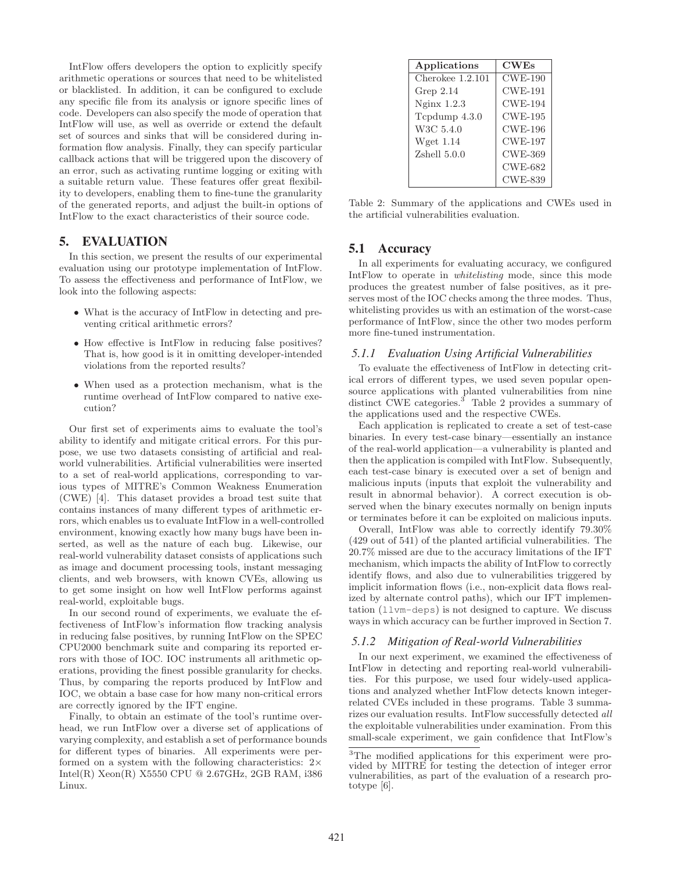IntFlow offers developers the option to explicitly specify arithmetic operations or sources that need to be whitelisted or blacklisted. In addition, it can be configured to exclude any specific file from its analysis or ignore specific lines of code. Developers can also specify the mode of operation that IntFlow will use, as well as override or extend the default set of sources and sinks that will be considered during information flow analysis. Finally, they can specify particular callback actions that will be triggered upon the discovery of an error, such as activating runtime logging or exiting with a suitable return value. These features offer great flexibility to developers, enabling them to fine-tune the granularity of the generated reports, and adjust the built-in options of IntFlow to the exact characteristics of their source code.

# 5. EVALUATION

In this section, we present the results of our experimental evaluation using our prototype implementation of IntFlow. To assess the effectiveness and performance of IntFlow, we look into the following aspects:

- What is the accuracy of IntFlow in detecting and preventing critical arithmetic errors?
- How effective is IntFlow in reducing false positives? That is, how good is it in omitting developer-intended violations from the reported results?
- When used as a protection mechanism, what is the runtime overhead of IntFlow compared to native execution?

Our first set of experiments aims to evaluate the tool's ability to identify and mitigate critical errors. For this purpose, we use two datasets consisting of artificial and realworld vulnerabilities. Artificial vulnerabilities were inserted to a set of real-world applications, corresponding to various types of MITRE's Common Weakness Enumeration (CWE) [4]. This dataset provides a broad test suite that contains instances of many different types of arithmetic errors, which enables us to evaluate IntFlow in a well-controlled environment, knowing exactly how many bugs have been inserted, as well as the nature of each bug. Likewise, our real-world vulnerability dataset consists of applications such as image and document processing tools, instant messaging clients, and web browsers, with known CVEs, allowing us to get some insight on how well IntFlow performs against real-world, exploitable bugs.

In our second round of experiments, we evaluate the effectiveness of IntFlow's information flow tracking analysis in reducing false positives, by running IntFlow on the SPEC CPU2000 benchmark suite and comparing its reported errors with those of IOC. IOC instruments all arithmetic operations, providing the finest possible granularity for checks. Thus, by comparing the reports produced by IntFlow and IOC, we obtain a base case for how many non-critical errors are correctly ignored by the IFT engine.

Finally, to obtain an estimate of the tool's runtime overhead, we run IntFlow over a diverse set of applications of varying complexity, and establish a set of performance bounds for different types of binaries. All experiments were performed on a system with the following characteristics:  $2 \times$ Intel(R) Xeon(R) X5550 CPU @ 2.67GHz, 2GB RAM, i386 Linux.

| Applications     | <b>CWEs</b>    |
|------------------|----------------|
| Cherokee 1.2.101 | $CWE-190$      |
| Grep $2.14$      | <b>CWE-191</b> |
| Nginx $1.2.3$    | <b>CWE-194</b> |
| Tcpdump 4.3.0    | $CWE-195$      |
| W3C 5.4.0        | CWE-196        |
| Wget $1.14$      | <b>CWE-197</b> |
| Zshell 5.0.0     | CWE-369        |
|                  | <b>CWE-682</b> |
|                  | <b>CWE-839</b> |

Table 2: Summary of the applications and CWEs used in the artificial vulnerabilities evaluation.

# 5.1 Accuracy

In all experiments for evaluating accuracy, we configured IntFlow to operate in *whitelisting* mode, since this mode produces the greatest number of false positives, as it preserves most of the IOC checks among the three modes. Thus, whitelisting provides us with an estimation of the worst-case performance of IntFlow, since the other two modes perform more fine-tuned instrumentation.

#### *5.1.1 Evaluation Using Artificial Vulnerabilities*

To evaluate the effectiveness of IntFlow in detecting critical errors of different types, we used seven popular opensource applications with planted vulnerabilities from nine distinct CWE categories.<sup>3</sup> Table 2 provides a summary of the applications used and the respective CWEs.

Each application is replicated to create a set of test-case binaries. In every test-case binary—essentially an instance of the real-world application—a vulnerability is planted and then the application is compiled with IntFlow. Subsequently, each test-case binary is executed over a set of benign and malicious inputs (inputs that exploit the vulnerability and result in abnormal behavior). A correct execution is observed when the binary executes normally on benign inputs or terminates before it can be exploited on malicious inputs.

Overall, IntFlow was able to correctly identify 79.30% (429 out of 541) of the planted artificial vulnerabilities. The 20.7% missed are due to the accuracy limitations of the IFT mechanism, which impacts the ability of IntFlow to correctly identify flows, and also due to vulnerabilities triggered by implicit information flows (i.e., non-explicit data flows realized by alternate control paths), which our IFT implementation (llvm-deps) is not designed to capture. We discuss ways in which accuracy can be further improved in Section 7.

#### *5.1.2 Mitigation of Real-world Vulnerabilities*

In our next experiment, we examined the effectiveness of IntFlow in detecting and reporting real-world vulnerabilities. For this purpose, we used four widely-used applications and analyzed whether IntFlow detects known integerrelated CVEs included in these programs. Table 3 summarizes our evaluation results. IntFlow successfully detected *all* the exploitable vulnerabilities under examination. From this small-scale experiment, we gain confidence that IntFlow's

<sup>3</sup>The modified applications for this experiment were provided by MITRE for testing the detection of integer error vulnerabilities, as part of the evaluation of a research prototype [6].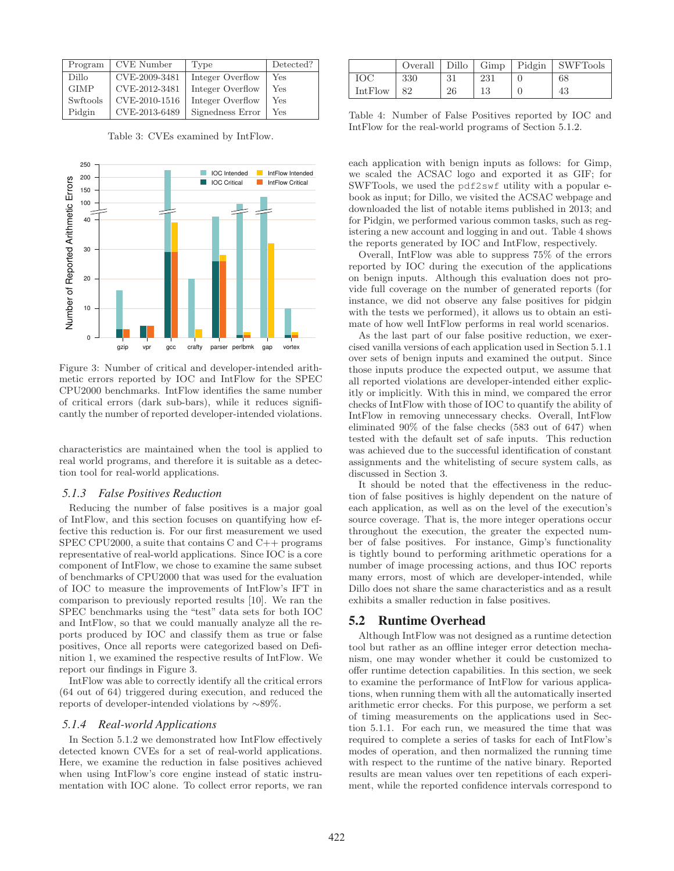| Program     | <b>CVE</b> Number | Type             | Detected? |
|-------------|-------------------|------------------|-----------|
| Dillo       | CVE-2009-3481     | Integer Overflow | Yes       |
| <b>GIMP</b> | CVE-2012-3481     | Integer Overflow | Yes       |
| Swftools    | CVE-2010-1516     | Integer Overflow | Yes       |
| Pidgin      | CVE-2013-6489     | Signedness Error | Yes       |

Table 3: CVEs examined by IntFlow.



Figure 3: Number of critical and developer-intended arithmetic errors reported by IOC and IntFlow for the SPEC CPU2000 benchmarks. IntFlow identifies the same number of critical errors (dark sub-bars), while it reduces significantly the number of reported developer-intended violations.

characteristics are maintained when the tool is applied to real world programs, and therefore it is suitable as a detection tool for real-world applications.

#### *5.1.3 False Positives Reduction*

Reducing the number of false positives is a major goal of IntFlow, and this section focuses on quantifying how effective this reduction is. For our first measurement we used SPEC CPU2000, a suite that contains C and C++ programs representative of real-world applications. Since IOC is a core component of IntFlow, we chose to examine the same subset of benchmarks of CPU2000 that was used for the evaluation of IOC to measure the improvements of IntFlow's IFT in comparison to previously reported results [10]. We ran the SPEC benchmarks using the "test" data sets for both IOC and IntFlow, so that we could manually analyze all the reports produced by IOC and classify them as true or false positives, Once all reports were categorized based on Definition 1, we examined the respective results of IntFlow. We report our findings in Figure 3.

IntFlow was able to correctly identify all the critical errors (64 out of 64) triggered during execution, and reduced the reports of developer-intended violations by ∼89%.

#### *5.1.4 Real-world Applications*

In Section 5.1.2 we demonstrated how IntFlow effectively detected known CVEs for a set of real-world applications. Here, we examine the reduction in false positives achieved when using IntFlow's core engine instead of static instrumentation with IOC alone. To collect error reports, we ran

|         |     |     |     | Overall   Dillo   Gimp   Pidgin   SWFTools |
|---------|-----|-----|-----|--------------------------------------------|
| ЮC      | 330 | -31 | 231 | 68                                         |
| IntFlow | 82  | 26  |     | 43                                         |

Table 4: Number of False Positives reported by IOC and IntFlow for the real-world programs of Section 5.1.2.

each application with benign inputs as follows: for Gimp, we scaled the ACSAC logo and exported it as GIF; for SWFTools, we used the pdf2swf utility with a popular ebook as input; for Dillo, we visited the ACSAC webpage and downloaded the list of notable items published in 2013; and for Pidgin, we performed various common tasks, such as registering a new account and logging in and out. Table 4 shows the reports generated by IOC and IntFlow, respectively.

Overall, IntFlow was able to suppress 75% of the errors reported by IOC during the execution of the applications on benign inputs. Although this evaluation does not provide full coverage on the number of generated reports (for instance, we did not observe any false positives for pidgin with the tests we performed), it allows us to obtain an estimate of how well IntFlow performs in real world scenarios.

As the last part of our false positive reduction, we exercised vanilla versions of each application used in Section 5.1.1 over sets of benign inputs and examined the output. Since those inputs produce the expected output, we assume that all reported violations are developer-intended either explicitly or implicitly. With this in mind, we compared the error checks of IntFlow with those of IOC to quantify the ability of IntFlow in removing unnecessary checks. Overall, IntFlow eliminated 90% of the false checks (583 out of 647) when tested with the default set of safe inputs. This reduction was achieved due to the successful identification of constant assignments and the whitelisting of secure system calls, as discussed in Section 3.

It should be noted that the effectiveness in the reduction of false positives is highly dependent on the nature of each application, as well as on the level of the execution's source coverage. That is, the more integer operations occur throughout the execution, the greater the expected number of false positives. For instance, Gimp's functionality is tightly bound to performing arithmetic operations for a number of image processing actions, and thus IOC reports many errors, most of which are developer-intended, while Dillo does not share the same characteristics and as a result exhibits a smaller reduction in false positives.

#### 5.2 Runtime Overhead

Although IntFlow was not designed as a runtime detection tool but rather as an offline integer error detection mechanism, one may wonder whether it could be customized to offer runtime detection capabilities. In this section, we seek to examine the performance of IntFlow for various applications, when running them with all the automatically inserted arithmetic error checks. For this purpose, we perform a set of timing measurements on the applications used in Section 5.1.1. For each run, we measured the time that was required to complete a series of tasks for each of IntFlow's modes of operation, and then normalized the running time with respect to the runtime of the native binary. Reported results are mean values over ten repetitions of each experiment, while the reported confidence intervals correspond to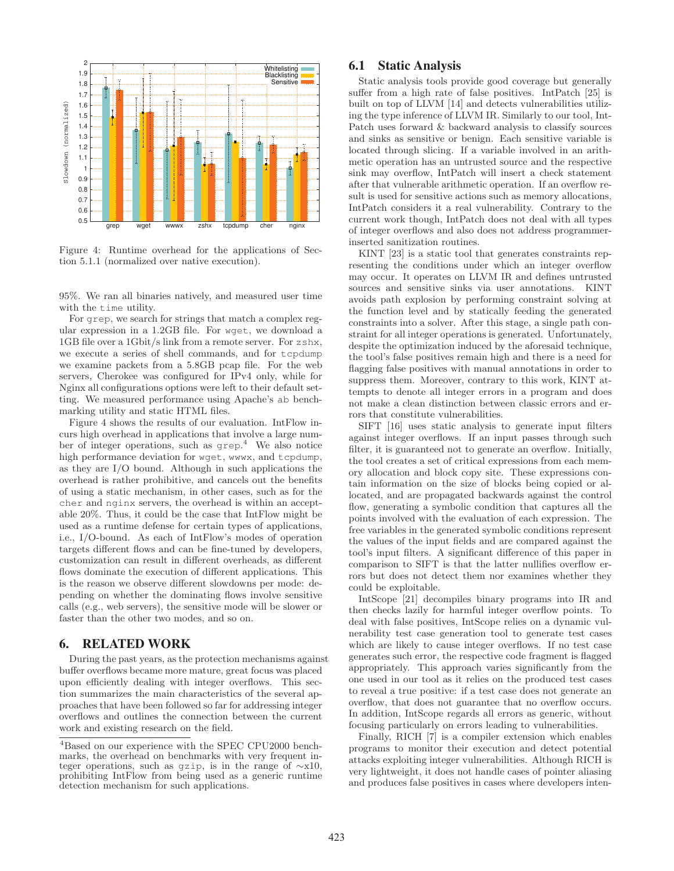

Figure 4: Runtime overhead for the applications of Section 5.1.1 (normalized over native execution).

95%. We ran all binaries natively, and measured user time with the time utility.

For grep, we search for strings that match a complex regular expression in a 1.2GB file. For wget, we download a 1GB file over a 1Gbit/s link from a remote server. For zshx, we execute a series of shell commands, and for tcpdump we examine packets from a 5.8GB pcap file. For the web servers, Cherokee was configured for IPv4 only, while for Nginx all configurations options were left to their default setting. We measured performance using Apache's ab benchmarking utility and static HTML files.

Figure 4 shows the results of our evaluation. IntFlow incurs high overhead in applications that involve a large number of integer operations, such as grep. <sup>4</sup> We also notice high performance deviation for wget, wwwx, and tcpdump, as they are I/O bound. Although in such applications the overhead is rather prohibitive, and cancels out the benefits of using a static mechanism, in other cases, such as for the cher and nginx servers, the overhead is within an acceptable 20%. Thus, it could be the case that IntFlow might be used as a runtime defense for certain types of applications, i.e., I/O-bound. As each of IntFlow's modes of operation targets different flows and can be fine-tuned by developers, customization can result in different overheads, as different flows dominate the execution of different applications. This is the reason we observe different slowdowns per mode: depending on whether the dominating flows involve sensitive calls (e.g., web servers), the sensitive mode will be slower or faster than the other two modes, and so on.

# 6. RELATED WORK

During the past years, as the protection mechanisms against buffer overflows became more mature, great focus was placed upon efficiently dealing with integer overflows. This section summarizes the main characteristics of the several approaches that have been followed so far for addressing integer overflows and outlines the connection between the current work and existing research on the field.

# 6.1 Static Analysis

Static analysis tools provide good coverage but generally suffer from a high rate of false positives. IntPatch [25] is built on top of LLVM [14] and detects vulnerabilities utilizing the type inference of LLVM IR. Similarly to our tool, Int-Patch uses forward & backward analysis to classify sources and sinks as sensitive or benign. Each sensitive variable is located through slicing. If a variable involved in an arithmetic operation has an untrusted source and the respective sink may overflow, IntPatch will insert a check statement after that vulnerable arithmetic operation. If an overflow result is used for sensitive actions such as memory allocations, IntPatch considers it a real vulnerability. Contrary to the current work though, IntPatch does not deal with all types of integer overflows and also does not address programmerinserted sanitization routines.

KINT [23] is a static tool that generates constraints representing the conditions under which an integer overflow may occur. It operates on LLVM IR and defines untrusted sources and sensitive sinks via user annotations. KINT avoids path explosion by performing constraint solving at the function level and by statically feeding the generated constraints into a solver. After this stage, a single path constraint for all integer operations is generated. Unfortunately, despite the optimization induced by the aforesaid technique, the tool's false positives remain high and there is a need for flagging false positives with manual annotations in order to suppress them. Moreover, contrary to this work, KINT attempts to denote all integer errors in a program and does not make a clean distinction between classic errors and errors that constitute vulnerabilities.

SIFT [16] uses static analysis to generate input filters against integer overflows. If an input passes through such filter, it is guaranteed not to generate an overflow. Initially, the tool creates a set of critical expressions from each memory allocation and block copy site. These expressions contain information on the size of blocks being copied or allocated, and are propagated backwards against the control flow, generating a symbolic condition that captures all the points involved with the evaluation of each expression. The free variables in the generated symbolic conditions represent the values of the input fields and are compared against the tool's input filters. A significant difference of this paper in comparison to SIFT is that the latter nullifies overflow errors but does not detect them nor examines whether they could be exploitable.

IntScope [21] decompiles binary programs into IR and then checks lazily for harmful integer overflow points. To deal with false positives, IntScope relies on a dynamic vulnerability test case generation tool to generate test cases which are likely to cause integer overflows. If no test case generates such error, the respective code fragment is flagged appropriately. This approach varies significantly from the one used in our tool as it relies on the produced test cases to reveal a true positive: if a test case does not generate an overflow, that does not guarantee that no overflow occurs. In addition, IntScope regards all errors as generic, without focusing particularly on errors leading to vulnerabilities.

Finally, RICH [7] is a compiler extension which enables programs to monitor their execution and detect potential attacks exploiting integer vulnerabilities. Although RICH is very lightweight, it does not handle cases of pointer aliasing and produces false positives in cases where developers inten-

<sup>4</sup>Based on our experience with the SPEC CPU2000 benchmarks, the overhead on benchmarks with very frequent integer operations, such as gzip, is in the range of ∼x10, prohibiting IntFlow from being used as a generic runtime detection mechanism for such applications.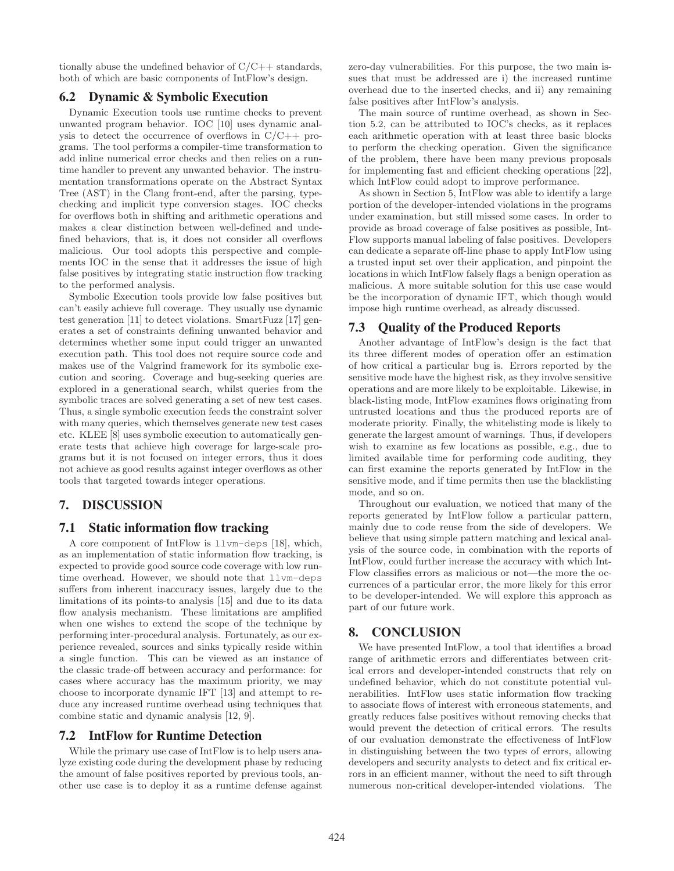tionally abuse the undefined behavior of  $C/C++$  standards, both of which are basic components of IntFlow's design.

# 6.2 Dynamic & Symbolic Execution

Dynamic Execution tools use runtime checks to prevent unwanted program behavior. IOC [10] uses dynamic analysis to detect the occurrence of overflows in  $C/C++$  programs. The tool performs a compiler-time transformation to add inline numerical error checks and then relies on a runtime handler to prevent any unwanted behavior. The instrumentation transformations operate on the Abstract Syntax Tree (AST) in the Clang front-end, after the parsing, typechecking and implicit type conversion stages. IOC checks for overflows both in shifting and arithmetic operations and makes a clear distinction between well-defined and undefined behaviors, that is, it does not consider all overflows malicious. Our tool adopts this perspective and complements IOC in the sense that it addresses the issue of high false positives by integrating static instruction flow tracking to the performed analysis.

Symbolic Execution tools provide low false positives but can't easily achieve full coverage. They usually use dynamic test generation [11] to detect violations. SmartFuzz [17] generates a set of constraints defining unwanted behavior and determines whether some input could trigger an unwanted execution path. This tool does not require source code and makes use of the Valgrind framework for its symbolic execution and scoring. Coverage and bug-seeking queries are explored in a generational search, whilst queries from the symbolic traces are solved generating a set of new test cases. Thus, a single symbolic execution feeds the constraint solver with many queries, which themselves generate new test cases etc. KLEE [8] uses symbolic execution to automatically generate tests that achieve high coverage for large-scale programs but it is not focused on integer errors, thus it does not achieve as good results against integer overflows as other tools that targeted towards integer operations.

# 7. DISCUSSION

## 7.1 Static information flow tracking

A core component of IntFlow is llvm-deps [18], which, as an implementation of static information flow tracking, is expected to provide good source code coverage with low runtime overhead. However, we should note that llvm-deps suffers from inherent inaccuracy issues, largely due to the limitations of its points-to analysis [15] and due to its data flow analysis mechanism. These limitations are amplified when one wishes to extend the scope of the technique by performing inter-procedural analysis. Fortunately, as our experience revealed, sources and sinks typically reside within a single function. This can be viewed as an instance of the classic trade-off between accuracy and performance: for cases where accuracy has the maximum priority, we may choose to incorporate dynamic IFT [13] and attempt to reduce any increased runtime overhead using techniques that combine static and dynamic analysis [12, 9].

## 7.2 IntFlow for Runtime Detection

While the primary use case of IntFlow is to help users analyze existing code during the development phase by reducing the amount of false positives reported by previous tools, another use case is to deploy it as a runtime defense against zero-day vulnerabilities. For this purpose, the two main issues that must be addressed are i) the increased runtime overhead due to the inserted checks, and ii) any remaining false positives after IntFlow's analysis.

The main source of runtime overhead, as shown in Section 5.2, can be attributed to IOC's checks, as it replaces each arithmetic operation with at least three basic blocks to perform the checking operation. Given the significance of the problem, there have been many previous proposals for implementing fast and efficient checking operations [22], which IntFlow could adopt to improve performance.

As shown in Section 5, IntFlow was able to identify a large portion of the developer-intended violations in the programs under examination, but still missed some cases. In order to provide as broad coverage of false positives as possible, Int-Flow supports manual labeling of false positives. Developers can dedicate a separate off-line phase to apply IntFlow using a trusted input set over their application, and pinpoint the locations in which IntFlow falsely flags a benign operation as malicious. A more suitable solution for this use case would be the incorporation of dynamic IFT, which though would impose high runtime overhead, as already discussed.

## 7.3 Quality of the Produced Reports

Another advantage of IntFlow's design is the fact that its three different modes of operation offer an estimation of how critical a particular bug is. Errors reported by the sensitive mode have the highest risk, as they involve sensitive operations and are more likely to be exploitable. Likewise, in black-listing mode, IntFlow examines flows originating from untrusted locations and thus the produced reports are of moderate priority. Finally, the whitelisting mode is likely to generate the largest amount of warnings. Thus, if developers wish to examine as few locations as possible, e.g., due to limited available time for performing code auditing, they can first examine the reports generated by IntFlow in the sensitive mode, and if time permits then use the blacklisting mode, and so on.

Throughout our evaluation, we noticed that many of the reports generated by IntFlow follow a particular pattern, mainly due to code reuse from the side of developers. We believe that using simple pattern matching and lexical analysis of the source code, in combination with the reports of IntFlow, could further increase the accuracy with which Int-Flow classifies errors as malicious or not—the more the occurrences of a particular error, the more likely for this error to be developer-intended. We will explore this approach as part of our future work.

# 8. CONCLUSION

We have presented IntFlow, a tool that identifies a broad range of arithmetic errors and differentiates between critical errors and developer-intended constructs that rely on undefined behavior, which do not constitute potential vulnerabilities. IntFlow uses static information flow tracking to associate flows of interest with erroneous statements, and greatly reduces false positives without removing checks that would prevent the detection of critical errors. The results of our evaluation demonstrate the effectiveness of IntFlow in distinguishing between the two types of errors, allowing developers and security analysts to detect and fix critical errors in an efficient manner, without the need to sift through numerous non-critical developer-intended violations. The